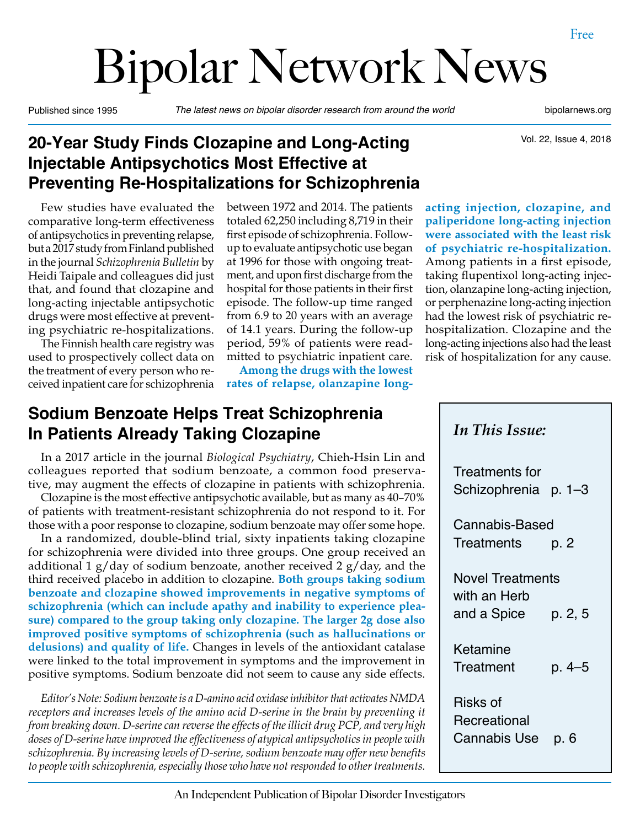# Bipolar Network News

Published since 1995 *The latest news on bipolar disorder research from around the world* bipolarnews.org

Vol. 22, Issue 4, 2018

# **20-Year Study Finds Clozapine and Long-Acting Injectable Antipsychotics Most Effective at Preventing Re-Hospitalizations for Schizophrenia**

Few studies have evaluated the comparative long-term effectiveness of antipsychotics in preventing relapse, but a 2017 study from Finland published in the journal *Schizophrenia Bulletin* by Heidi Taipale and colleagues did just that, and found that clozapine and long-acting injectable antipsychotic drugs were most effective at preventing psychiatric re-hospitalizations.

The Finnish health care registry was used to prospectively collect data on the treatment of every person who received inpatient care for schizophrenia between 1972 and 2014. The patients totaled 62,250 including 8,719 in their first episode of schizophrenia. Followup to evaluate antipsychotic use began at 1996 for those with ongoing treatment, and upon first discharge from the hospital for those patients in their first episode. The follow-up time ranged from 6.9 to 20 years with an average of 14.1 years. During the follow-up period, 59% of patients were readmitted to psychiatric inpatient care.

**Among the drugs with the lowest rates of relapse, olanzapine long-**

## **Sodium Benzoate Helps Treat Schizophrenia In Patients Already Taking Clozapine**

In a 2017 article in the journal *Biological Psychiatry*, Chieh-Hsin Lin and colleagues reported that sodium benzoate, a common food preservative, may augment the effects of clozapine in patients with schizophrenia.

Clozapine is the most effective antipsychotic available, but as many as 40–70% of patients with treatment-resistant schizophrenia do not respond to it. For those with a poor response to clozapine, sodium benzoate may offer some hope.

In a randomized, double-blind trial, sixty inpatients taking clozapine for schizophrenia were divided into three groups. One group received an additional 1  $g$ /day of sodium benzoate, another received 2  $g$ /day, and the third received placebo in addition to clozapine. **Both groups taking sodium benzoate and clozapine showed improvements in negative symptoms of schizophrenia (which can include apathy and inability to experience pleasure) compared to the group taking only clozapine. The larger 2g dose also improved positive symptoms of schizophrenia (such as hallucinations or delusions) and quality of life.** Changes in levels of the antioxidant catalase were linked to the total improvement in symptoms and the improvement in positive symptoms. Sodium benzoate did not seem to cause any side effects.

*Editor's Note: Sodium benzoate is a D-amino acid oxidase inhibitor that activates NMDA receptors and increases levels of the amino acid D-serine in the brain by preventing it from breaking down. D-serine can reverse the effects of the illicit drug PCP, and very high doses of D-serine have improved the effectiveness of atypical antipsychotics in people with schizophrenia. By increasing levels of D-serine, sodium benzoate may offer new benefits to people with schizophrenia, especially those who have not responded to other treatments.*

**acting injection, clozapine, and paliperidone long-acting injection were associated with the least risk of psychiatric re-hospitalization.**  Among patients in a first episode, taking flupentixol long-acting injection, olanzapine long-acting injection, or perphenazine long-acting injection had the lowest risk of psychiatric rehospitalization. Clozapine and the long-acting injections also had the least risk of hospitalization for any cause.

| In This Issue:                         |
|----------------------------------------|
| Treatments for<br>Schizophrenia p. 1–3 |
| <b>Cannabis-Based</b>                  |
| Treatments<br>p. 2                     |
| <b>Novel Treatments</b>                |
| with an Herb                           |
| and a Spice $p. 2, 5$                  |
| Ketamine                               |
| Treatment<br>$p.4 - 5$                 |
| Risks of                               |
| Recreational                           |
| Cannabis Use<br>p. 6                   |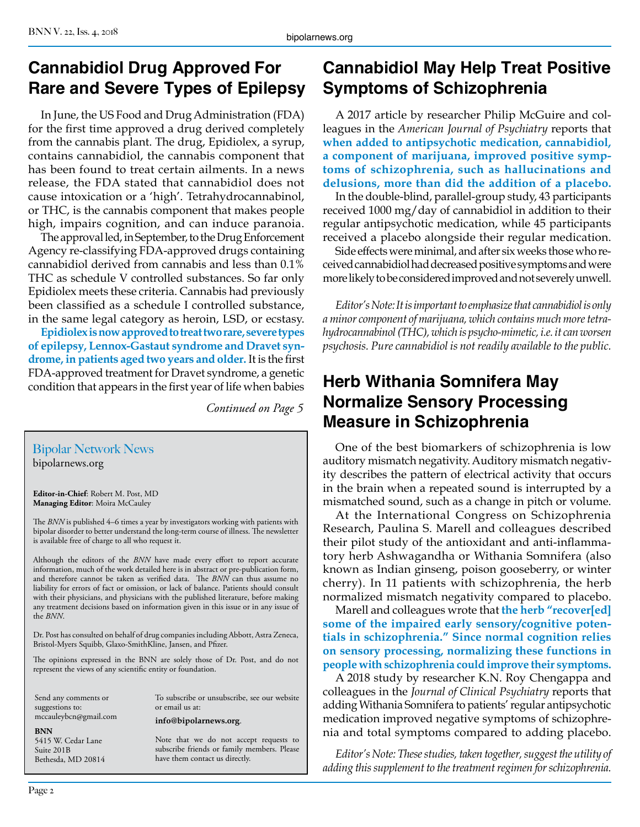## **Cannabidiol Drug Approved For Rare and Severe Types of Epilepsy**

In June, the US Food and Drug Administration (FDA) for the first time approved a drug derived completely from the cannabis plant. The drug, Epidiolex, a syrup, contains cannabidiol, the cannabis component that has been found to treat certain ailments. In a news release, the FDA stated that cannabidiol does not cause intoxication or a 'high'. Tetrahydrocannabinol, or THC, is the cannabis component that makes people high, impairs cognition, and can induce paranoia.

The approval led, in September, to the Drug Enforcement Agency re-classifying FDA-approved drugs containing cannabidiol derived from cannabis and less than 0.1% THC as schedule V controlled substances. So far only Epidiolex meets these criteria. Cannabis had previously been classified as a schedule I controlled substance, in the same legal category as heroin, LSD, or ecstasy.

**Epidiolex is now approved to treat two rare, severe types of epilepsy, Lennox-Gastaut syndrome and Dravet syndrome, in patients aged two years and older.** It is the first FDA-approved treatment for Dravet syndrome, a genetic condition that appears in the first year of life when babies

*Continued on Page 5*

### Bipolar Network News

bipolarnews.org

**Editor-in-Chief**: Robert M. Post, MD **Managing Editor**: Moira McCauley

The *BNN* is published 4–6 times a year by investigators working with patients with bipolar disorder to better understand the long-term course of illness. The newsletter is available free of charge to all who request it.

Although the editors of the *BNN* have made every effort to report accurate information, much of the work detailed here is in abstract or pre-publication form, and therefore cannot be taken as verified data. The *BNN* can thus assume no liability for errors of fact or omission, or lack of balance. Patients should consult with their physicians, and physicians with the published literature, before making any treatment decisions based on information given in this issue or in any issue of the *BNN*.

Dr. Post has consulted on behalf of drug companies including Abbott, Astra Zeneca, Bristol-Myers Squibb, Glaxo-SmithKline, Jansen, and Pfizer.

The opinions expressed in the BNN are solely those of Dr. Post, and do not represent the views of any scientific entity or foundation.

Send any comments or suggestions to: mccauleybcn@gmail.com

**BNN**

5415 W. Cedar Lane Suite 201B Bethesda, MD 20814 To subscribe or unsubscribe, see our website or email us at:

**info@bipolarnews.org**.

Note that we do not accept requests to subscribe friends or family members. Please have them contact us directly.

# **Cannabidiol May Help Treat Positive Symptoms of Schizophrenia**

A 2017 article by researcher Philip McGuire and colleagues in the *American Journal of Psychiatry* reports that **when added to antipsychotic medication, cannabidiol, a component of marijuana, improved positive symptoms of schizophrenia, such as hallucinations and delusions, more than did the addition of a placebo.**

In the double-blind, parallel-group study, 43 participants received 1000 mg/day of cannabidiol in addition to their regular antipsychotic medication, while 45 participants received a placebo alongside their regular medication.

Side effects were minimal, and after six weeks those who received cannabidiol had decreased positive symptoms and were more likely to be considered improved and not severely unwell.

*Editor's Note: It is important to emphasize that cannabidiol is only a minor component of marijuana, which contains much more tetrahydrocannabinol (THC), which is psycho-mimetic, i.e. it can worsen psychosis. Pure cannabidiol is not readily available to the public.*

## **Herb Withania Somnifera May Normalize Sensory Processing Measure in Schizophrenia**

One of the best biomarkers of schizophrenia is low auditory mismatch negativity. Auditory mismatch negativity describes the pattern of electrical activity that occurs in the brain when a repeated sound is interrupted by a mismatched sound, such as a change in pitch or volume.

At the International Congress on Schizophrenia Research, Paulina S. Marell and colleagues described their pilot study of the antioxidant and anti-inflammatory herb Ashwagandha or Withania Somnifera (also known as Indian ginseng, poison gooseberry, or winter cherry). In 11 patients with schizophrenia, the herb normalized mismatch negativity compared to placebo.

Marell and colleagues wrote that **the herb "recover[ed] some of the impaired early sensory/cognitive potentials in schizophrenia." Since normal cognition relies on sensory processing, normalizing these functions in people with schizophrenia could improve their symptoms.** 

A 2018 study by researcher K.N. Roy Chengappa and colleagues in the *Journal of Clinical Psychiatry* reports that adding Withania Somnifera to patients' regular antipsychotic medication improved negative symptoms of schizophrenia and total symptoms compared to adding placebo.

*Editor's Note: These studies, taken together, suggest the utility of adding this supplement to the treatment regimen for schizophrenia.*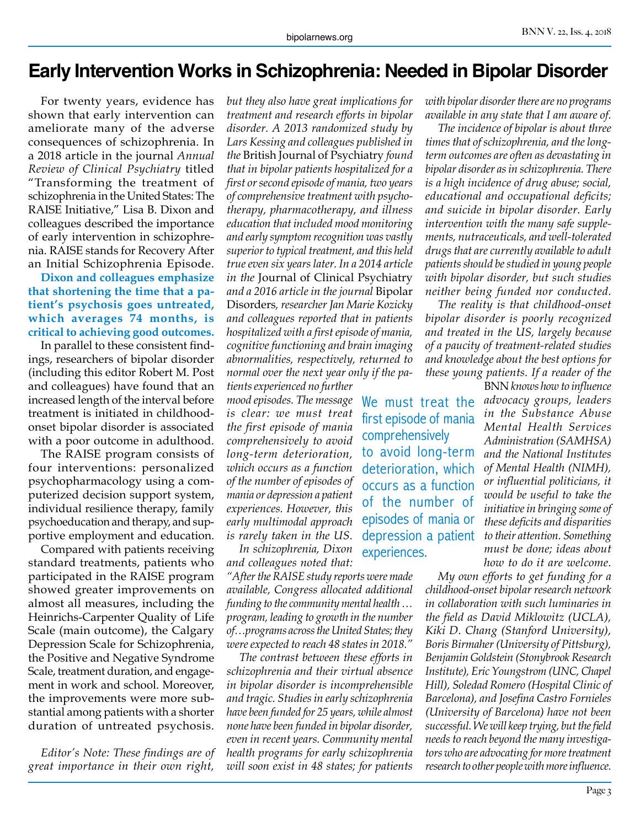# **Early Intervention Works in Schizophrenia: Needed in Bipolar Disorder**

For twenty years, evidence has shown that early intervention can ameliorate many of the adverse consequences of schizophrenia. In a 2018 article in the journal *Annual Review of Clinical Psychiatry* titled "Transforming the treatment of schizophrenia in the United States: The RAISE Initiative," Lisa B. Dixon and colleagues described the importance of early intervention in schizophrenia. RAISE stands for Recovery After an Initial Schizophrenia Episode.

**Dixon and colleagues emphasize that shortening the time that a patient's psychosis goes untreated, which averages 74 months, is critical to achieving good outcomes.**

In parallel to these consistent findings, researchers of bipolar disorder (including this editor Robert M. Post and colleagues) have found that an increased length of the interval before treatment is initiated in childhoodonset bipolar disorder is associated with a poor outcome in adulthood.

The RAISE program consists of four interventions: personalized psychopharmacology using a computerized decision support system, individual resilience therapy, family psychoeducation and therapy, and supportive employment and education.

Compared with patients receiving standard treatments, patients who participated in the RAISE program showed greater improvements on almost all measures, including the Heinrichs-Carpenter Quality of Life Scale (main outcome), the Calgary Depression Scale for Schizophrenia, the Positive and Negative Syndrome Scale, treatment duration, and engagement in work and school. Moreover, the improvements were more substantial among patients with a shorter duration of untreated psychosis.

*Editor's Note: These findings are of great importance in their own right,* 

*but they also have great implications for treatment and research efforts in bipolar disorder. A 2013 randomized study by Lars Kessing and colleagues published in the* British Journal of Psychiatry *found that in bipolar patients hospitalized for a first or second episode of mania, two years of comprehensive treatment with psychotherapy, pharmacotherapy, and illness education that included mood monitoring and early symptom recognition was vastly superior to typical treatment, and this held true even six years later. In a 2014 article in the* Journal of Clinical Psychiatry *and a 2016 article in the journal* Bipolar Disorders*, researcher Jan Marie Kozicky and colleagues reported that in patients hospitalized with a first episode of mania, cognitive functioning and brain imaging abnormalities, respectively, returned to normal over the next year only if the pa-*

*tients experienced no further mood episodes. The message*  We must treat the *is clear: we must treat the first episode of mania comprehensively to avoid long-term deterioration, which occurs as a function of the number of episodes of mania or depression a patient experiences. However, this early multimodal approach is rarely taken in the US.*

*In schizophrenia, Dixon and colleagues noted that:* 

*"After the RAISE study reports were made available, Congress allocated additional funding to the community mental health … program, leading to growth in the number of…programs across the United States; they were expected to reach 48 states in 2018."*

*The contrast between these efforts in schizophrenia and their virtual absence in bipolar disorder is incomprehensible and tragic. Studies in early schizophrenia have been funded for 25 years, while almost none have been funded in bipolar disorder, even in recent years. Community mental health programs for early schizophrenia will soon exist in 48 states; for patients*  *with bipolar disorder there are no programs available in any state that I am aware of.* 

*The incidence of bipolar is about three times that of schizophrenia, and the longterm outcomes are often as devastating in bipolar disorder as in schizophrenia. There is a high incidence of drug abuse; social, educational and occupational deficits; and suicide in bipolar disorder. Early intervention with the many safe supplements, nutraceuticals, and well-tolerated drugs that are currently available to adult patients should be studied in young people with bipolar disorder, but such studies neither being funded nor conducted.*

*The reality is that childhood-onset bipolar disorder is poorly recognized and treated in the US, largely because of a paucity of treatment-related studies and knowledge about the best options for these young patients. If a reader of the* 

first episode of mania

to avoid long-term deterioration, which occurs as a function of the number of episodes of mania or depression a patient

comprehensively

experiences.

BNN *knows how to influence advocacy groups, leaders in the Substance Abuse Mental Health Services Administration (SAMHSA) and the National Institutes of Mental Health (NIMH), or influential politicians, it would be useful to take the initiative in bringing some of these deficits and disparities to their attention. Something must be done; ideas about how to do it are welcome.* 

*My own efforts to get funding for a childhood-onset bipolar research network in collaboration with such luminaries in the field as David Miklowitz (UCLA), Kiki D. Chang (Stanford University), Boris Birmaher (University of Pittsburg), Benjamin Goldstein (Stonybrook Research Institute), Eric Youngstrom (UNC, Chapel Hill), Soledad Romero (Hospital Clinic of Barcelona), and Josefina Castro Fornieles (University of Barcelona) have not been successful. We will keep trying, but the field needs to reach beyond the many investigators who are advocating for more treatment research to other people with more influence.*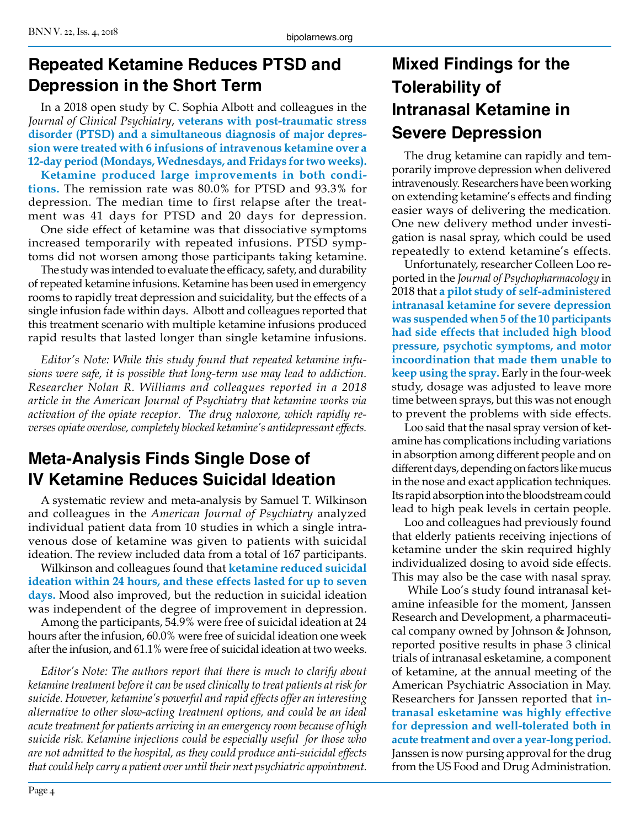# **Repeated Ketamine Reduces PTSD and Depression in the Short Term**

In a 2018 open study by C. Sophia Albott and colleagues in the *Journal of Clinical Psychiatry*, **veterans with post-traumatic stress disorder (PTSD) and a simultaneous diagnosis of major depression were treated with 6 infusions of intravenous ketamine over a 12-day period (Mondays, Wednesdays, and Fridays for two weeks).**

**Ketamine produced large improvements in both conditions.** The remission rate was 80.0% for PTSD and 93.3% for depression. The median time to first relapse after the treatment was 41 days for PTSD and 20 days for depression.

One side effect of ketamine was that dissociative symptoms increased temporarily with repeated infusions. PTSD symptoms did not worsen among those participants taking ketamine.

The study was intended to evaluate the efficacy, safety, and durability of repeated ketamine infusions. Ketamine has been used in emergency rooms to rapidly treat depression and suicidality, but the effects of a single infusion fade within days. Albott and colleagues reported that this treatment scenario with multiple ketamine infusions produced rapid results that lasted longer than single ketamine infusions.

*Editor's Note: While this study found that repeated ketamine infusions were safe, it is possible that long-term use may lead to addiction. Researcher Nolan R. Williams and colleagues reported in a 2018 article in the American Journal of Psychiatry that ketamine works via activation of the opiate receptor. The drug naloxone, which rapidly reverses opiate overdose, completely blocked ketamine's antidepressant effects.*

# **Meta-Analysis Finds Single Dose of IV Ketamine Reduces Suicidal Ideation**

A systematic review and meta-analysis by Samuel T. Wilkinson and colleagues in the *American Journal of Psychiatry* analyzed individual patient data from 10 studies in which a single intravenous dose of ketamine was given to patients with suicidal ideation. The review included data from a total of 167 participants.

Wilkinson and colleagues found that **ketamine reduced suicidal ideation within 24 hours, and these effects lasted for up to seven days.** Mood also improved, but the reduction in suicidal ideation was independent of the degree of improvement in depression.

Among the participants, 54.9% were free of suicidal ideation at 24 hours after the infusion, 60.0% were free of suicidal ideation one week after the infusion, and 61.1% were free of suicidal ideation at two weeks.

*Editor's Note: The authors report that there is much to clarify about ketamine treatment before it can be used clinically to treat patients at risk for suicide. However, ketamine's powerful and rapid effects offer an interesting alternative to other slow-acting treatment options, and could be an ideal acute treatment for patients arriving in an emergency room because of high suicide risk. Ketamine injections could be especially useful for those who are not admitted to the hospital, as they could produce anti-suicidal effects that could help carry a patient over until their next psychiatric appointment.*

# **Mixed Findings for the Tolerability of Intranasal Ketamine in Severe Depression**

The drug ketamine can rapidly and temporarily improve depression when delivered intravenously. Researchers have been working on extending ketamine's effects and finding easier ways of delivering the medication. One new delivery method under investigation is nasal spray, which could be used repeatedly to extend ketamine's effects.

Unfortunately, researcher Colleen Loo reported in the *Journal of Psychopharmacology* in 2018 that **a pilot study of self-administered intranasal ketamine for severe depression was suspended when 5 of the 10 participants had side effects that included high blood pressure, psychotic symptoms, and motor incoordination that made them unable to keep using the spray.** Early in the four-week study, dosage was adjusted to leave more time between sprays, but this was not enough to prevent the problems with side effects.

Loo said that the nasal spray version of ketamine has complications including variations in absorption among different people and on different days, depending on factors like mucus in the nose and exact application techniques. Its rapid absorption into the bloodstream could lead to high peak levels in certain people.

Loo and colleagues had previously found that elderly patients receiving injections of ketamine under the skin required highly individualized dosing to avoid side effects. This may also be the case with nasal spray.

 While Loo's study found intranasal ketamine infeasible for the moment, Janssen Research and Development, a pharmaceutical company owned by Johnson & Johnson, reported positive results in phase 3 clinical trials of intranasal esketamine, a component of ketamine, at the annual meeting of the American Psychiatric Association in May. Researchers for Janssen reported that **intranasal esketamine was highly effective for depression and well-tolerated both in acute treatment and over a year-long period.**  Janssen is now pursing approval for the drug from the US Food and Drug Administration.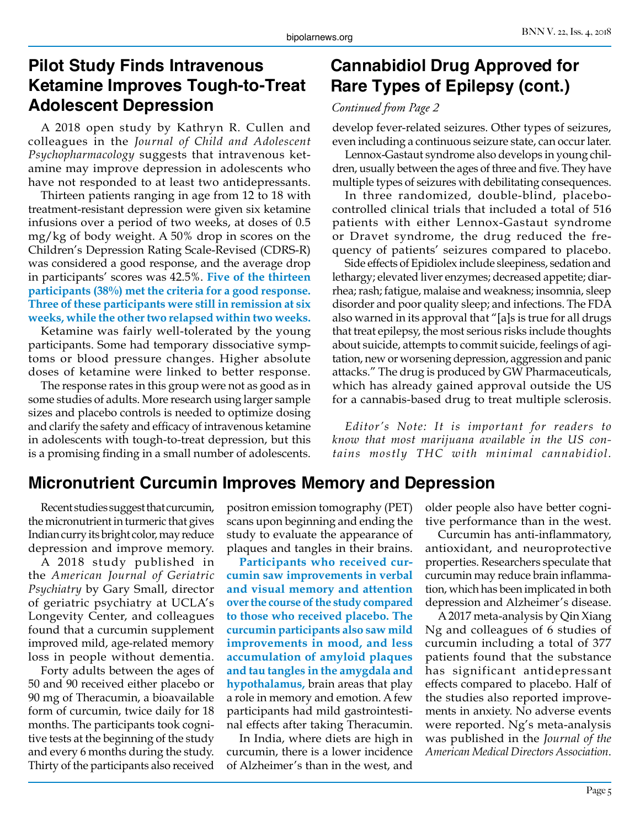## **Pilot Study Finds Intravenous Ketamine Improves Tough-to-Treat Adolescent Depression**

A 2018 open study by Kathryn R. Cullen and colleagues in the *Journal of Child and Adolescent Psychopharmacology* suggests that intravenous ketamine may improve depression in adolescents who have not responded to at least two antidepressants.

Thirteen patients ranging in age from 12 to 18 with treatment-resistant depression were given six ketamine infusions over a period of two weeks, at doses of 0.5 mg/kg of body weight. A 50% drop in scores on the Children's Depression Rating Scale-Revised (CDRS-R) was considered a good response, and the average drop in participants' scores was 42.5%. **Five of the thirteen participants (38%) met the criteria for a good response. Three of these participants were still in remission at six weeks, while the other two relapsed within two weeks.**

Ketamine was fairly well-tolerated by the young participants. Some had temporary dissociative symptoms or blood pressure changes. Higher absolute doses of ketamine were linked to better response.

The response rates in this group were not as good as in some studies of adults. More research using larger sample sizes and placebo controls is needed to optimize dosing and clarify the safety and efficacy of intravenous ketamine in adolescents with tough-to-treat depression, but this is a promising finding in a small number of adolescents.

# **Cannabidiol Drug Approved for Rare Types of Epilepsy (cont.)**

#### *Continued from Page 2*

develop fever-related seizures. Other types of seizures, even including a continuous seizure state, can occur later.

Lennox-Gastaut syndrome also develops in young children, usually between the ages of three and five. They have multiple types of seizures with debilitating consequences.

In three randomized, double-blind, placebocontrolled clinical trials that included a total of 516 patients with either Lennox-Gastaut syndrome or Dravet syndrome, the drug reduced the frequency of patients' seizures compared to placebo.

Side effects of Epidiolex include sleepiness, sedation and lethargy; elevated liver enzymes; decreased appetite; diarrhea; rash; fatigue, malaise and weakness; insomnia, sleep disorder and poor quality sleep; and infections. The FDA also warned in its approval that "[a]s is true for all drugs that treat epilepsy, the most serious risks include thoughts about suicide, attempts to commit suicide, feelings of agitation, new or worsening depression, aggression and panic attacks." The drug is produced by GW Pharmaceuticals, which has already gained approval outside the US for a cannabis-based drug to treat multiple sclerosis.

*Editor's Note: It is important for readers to know that most marijuana available in the US contains mostly THC with minimal cannabidiol.*

## **Micronutrient Curcumin Improves Memory and Depression**

Recent studies suggest that curcumin, the micronutrient in turmeric that gives Indian curry its bright color, may reduce depression and improve memory.

A 2018 study published in the *American Journal of Geriatric Psychiatry* by Gary Small, director of geriatric psychiatry at UCLA's Longevity Center, and colleagues found that a curcumin supplement improved mild, age-related memory loss in people without dementia.

Forty adults between the ages of 50 and 90 received either placebo or 90 mg of Theracumin, a bioavailable form of curcumin, twice daily for 18 months. The participants took cognitive tests at the beginning of the study and every 6 months during the study. Thirty of the participants also received

positron emission tomography (PET) scans upon beginning and ending the study to evaluate the appearance of plaques and tangles in their brains.

**Participants who received curcumin saw improvements in verbal and visual memory and attention over the course of the study compared to those who received placebo. The curcumin participants also saw mild improvements in mood, and less accumulation of amyloid plaques and tau tangles in the amygdala and hypothalamus,** brain areas that play a role in memory and emotion. A few participants had mild gastrointestinal effects after taking Theracumin.

In India, where diets are high in curcumin, there is a lower incidence of Alzheimer's than in the west, and

older people also have better cognitive performance than in the west.

Curcumin has anti-inflammatory, antioxidant, and neuroprotective properties. Researchers speculate that curcumin may reduce brain inflammation, which has been implicated in both depression and Alzheimer's disease.

A 2017 meta-analysis by Qin Xiang Ng and colleagues of 6 studies of curcumin including a total of 377 patients found that the substance has significant antidepressant effects compared to placebo. Half of the studies also reported improvements in anxiety. No adverse events were reported. Ng's meta-analysis was published in the *Journal of the American Medical Directors Association*.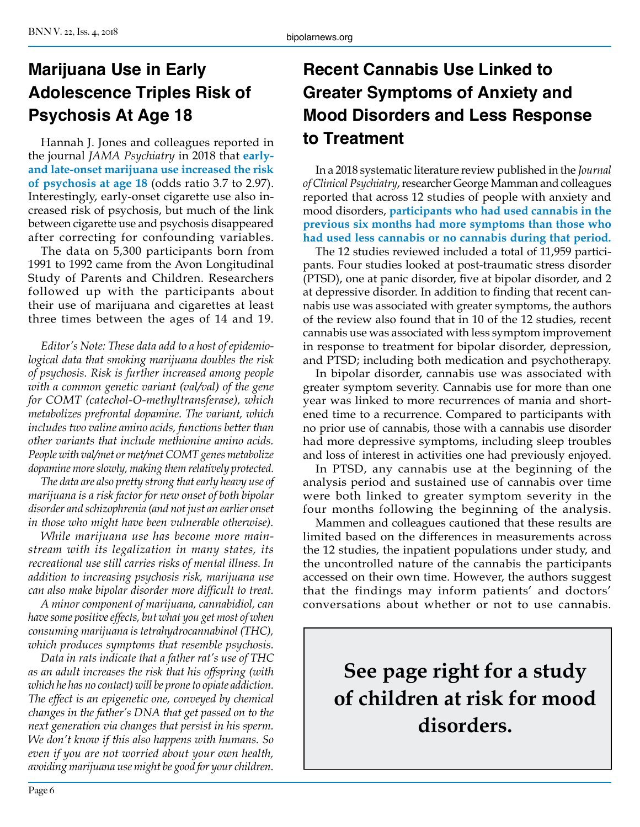# **Marijuana Use in Early Adolescence Triples Risk of Psychosis At Age 18**

Hannah J. Jones and colleagues reported in the journal *JAMA Psychiatry* in 2018 that **earlyand late-onset marijuana use increased the risk of psychosis at age 18** (odds ratio 3.7 to 2.97). Interestingly, early-onset cigarette use also increased risk of psychosis, but much of the link between cigarette use and psychosis disappeared after correcting for confounding variables.

The data on 5,300 participants born from 1991 to 1992 came from the Avon Longitudinal Study of Parents and Children. Researchers followed up with the participants about their use of marijuana and cigarettes at least three times between the ages of 14 and 19.

*Editor's Note: These data add to a host of epidemiological data that smoking marijuana doubles the risk of psychosis. Risk is further increased among people with a common genetic variant (val/val) of the gene for COMT (catechol-O-methyltransferase), which metabolizes prefrontal dopamine. The variant, which includes two valine amino acids, functions better than other variants that include methionine amino acids. People with val/met or met/met COMT genes metabolize dopamine more slowly, making them relatively protected.* 

*The data are also pretty strong that early heavy use of marijuana is a risk factor for new onset of both bipolar disorder and schizophrenia (and not just an earlier onset in those who might have been vulnerable otherwise).*

*While marijuana use has become more mainstream with its legalization in many states, its recreational use still carries risks of mental illness. In addition to increasing psychosis risk, marijuana use can also make bipolar disorder more difficult to treat.* 

*A minor component of marijuana, cannabidiol, can have some positive effects, but what you get most of when consuming marijuana is tetrahydrocannabinol (THC), which produces symptoms that resemble psychosis.* 

*Data in rats indicate that a father rat's use of THC as an adult increases the risk that his offspring (with which he has no contact) will be prone to opiate addiction. The effect is an epigenetic one, conveyed by chemical changes in the father's DNA that get passed on to the next generation via changes that persist in his sperm. We don't know if this also happens with humans. So even if you are not worried about your own health, avoiding marijuana use might be good for your children.* 

# **Recent Cannabis Use Linked to Greater Symptoms of Anxiety and Mood Disorders and Less Response to Treatment**

In a 2018 systematic literature review published in the *Journal of Clinical Psychiatry*, researcher George Mamman and colleagues reported that across 12 studies of people with anxiety and mood disorders, **participants who had used cannabis in the previous six months had more symptoms than those who had used less cannabis or no cannabis during that period.** 

The 12 studies reviewed included a total of 11,959 participants. Four studies looked at post-traumatic stress disorder (PTSD), one at panic disorder, five at bipolar disorder, and 2 at depressive disorder. In addition to finding that recent cannabis use was associated with greater symptoms, the authors of the review also found that in 10 of the 12 studies, recent cannabis use was associated with less symptom improvement in response to treatment for bipolar disorder, depression, and PTSD; including both medication and psychotherapy.

In bipolar disorder, cannabis use was associated with greater symptom severity. Cannabis use for more than one year was linked to more recurrences of mania and shortened time to a recurrence. Compared to participants with no prior use of cannabis, those with a cannabis use disorder had more depressive symptoms, including sleep troubles and loss of interest in activities one had previously enjoyed.

In PTSD, any cannabis use at the beginning of the analysis period and sustained use of cannabis over time were both linked to greater symptom severity in the four months following the beginning of the analysis.

Mammen and colleagues cautioned that these results are limited based on the differences in measurements across the 12 studies, the inpatient populations under study, and the uncontrolled nature of the cannabis the participants accessed on their own time. However, the authors suggest that the findings may inform patients' and doctors' conversations about whether or not to use cannabis.

**See page right for a study of children at risk for mood disorders.**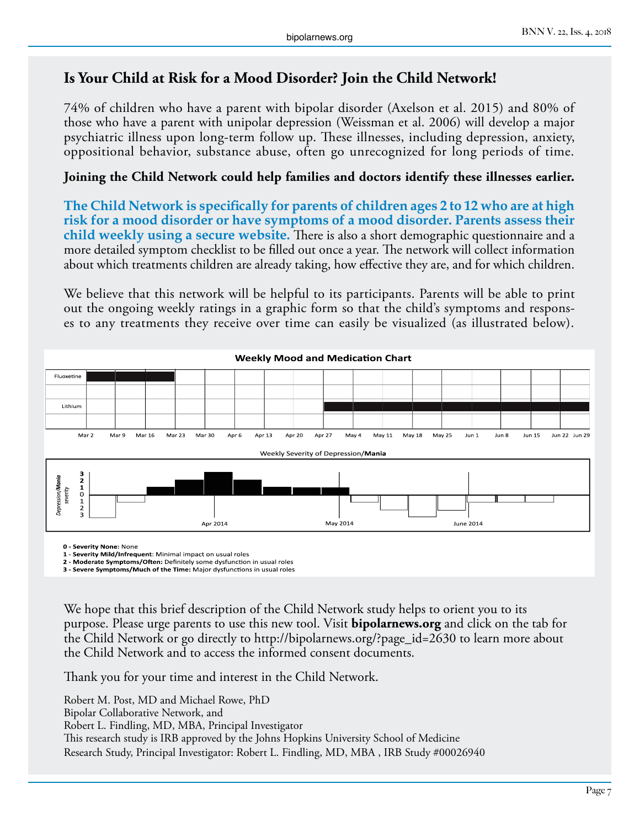#### **Is Your Child at Risk for a Mood Disorder? Join the Child Network!**

74% of children who have a parent with bipolar disorder (Axelson et al. 2015) and 80% of those who have a parent with unipolar depression (Weissman et al. 2006) will develop a major psychiatric illness upon long-term follow up. These illnesses, including depression, anxiety, oppositional behavior, substance abuse, often go unrecognized for long periods of time.

#### **Joining the Child Network could help families and doctors identify these illnesses earlier.**

**The Child Network is specifically for parents of children ages 2 to 12 who are at high risk for a mood disorder or have symptoms of a mood disorder. Parents assess their child weekly using a secure website.** There is also a short demographic questionnaire and a more detailed symptom checklist to be filled out once a year. The network will collect information about which treatments children are already taking, how effective they are, and for which children.

We believe that this network will be helpful to its participants. Parents will be able to print out the ongoing weekly ratings in a graphic form so that the child's symptoms and responses to any treatments they receive over time can easily be visualized (as illustrated below).



**0 - Severity None:** None

**1 - Severity Mild/Infrequent**: Minimal impact on usual roles

**2 - Moderate Symptoms/Often:** Definitely some dysfunction in usual roles **3 - Severe Symptoms/Much of the Time:** Major dysfunctions in usual roles

We hope that this brief description of the Child Network study helps to orient you to its purpose. Please urge parents to use this new tool. Visit **bipolarnews.org** and click on the tab for the Child Network or go directly to http://bipolarnews.org/?page\_id=2630 to learn more about the Child Network and to access the informed consent documents.

Thank you for your time and interest in the Child Network.

Robert M. Post, MD and Michael Rowe, PhD Bipolar Collaborative Network, and Robert L. Findling, MD, MBA, Principal Investigator This research study is IRB approved by the Johns Hopkins University School of Medicine Research Study, Principal Investigator: Robert L. Findling, MD, MBA , IRB Study #00026940